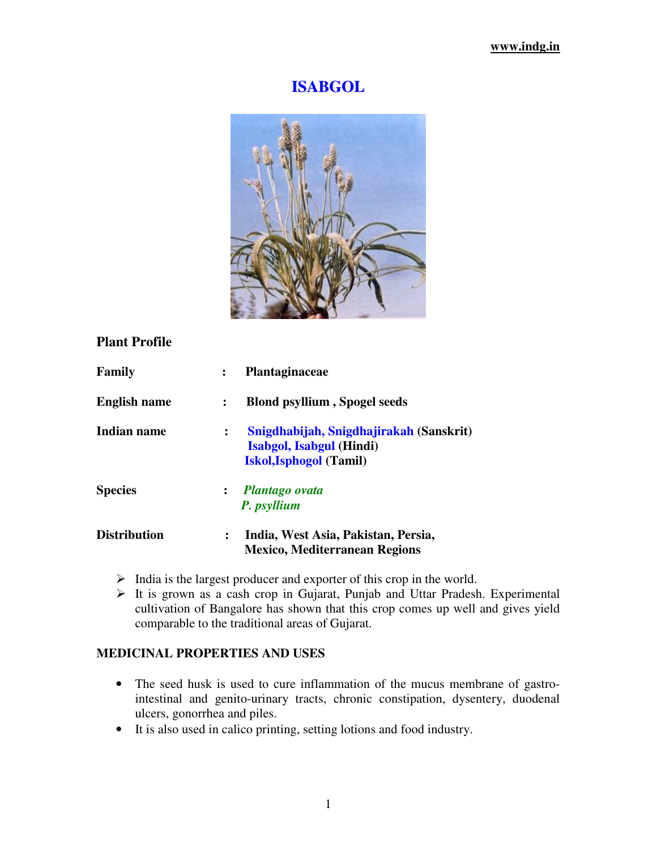# **ISABGOL**



## **Plant Profile**

| Family              |                | Plantaginaceae                                                                                               |
|---------------------|----------------|--------------------------------------------------------------------------------------------------------------|
| <b>English name</b> | $\ddot{\cdot}$ | <b>Blond psyllium, Spogel seeds</b>                                                                          |
| Indian name         | ፡              | Snigdhabijah, Snigdhajirakah (Sanskrit)<br><b>Isabgol, Isabgul (Hindi)</b><br><b>Iskol, Isphogol (Tamil)</b> |
| <b>Species</b>      |                | : Plantago ovata<br>P. psyllium                                                                              |
| <b>Distribution</b> | $\ddot{\cdot}$ | India, West Asia, Pakistan, Persia,<br><b>Mexico, Mediterranean Regions</b>                                  |

- $\triangleright$  India is the largest producer and exporter of this crop in the world.
- $\triangleright$  It is grown as a cash crop in Gujarat, Punjab and Uttar Pradesh. Experimental cultivation of Bangalore has shown that this crop comes up well and gives yield comparable to the traditional areas of Gujarat.

#### **MEDICINAL PROPERTIES AND USES**

- The seed husk is used to cure inflammation of the mucus membrane of gastrointestinal and genito-urinary tracts, chronic constipation, dysentery, duodenal ulcers, gonorrhea and piles.
- It is also used in calico printing, setting lotions and food industry.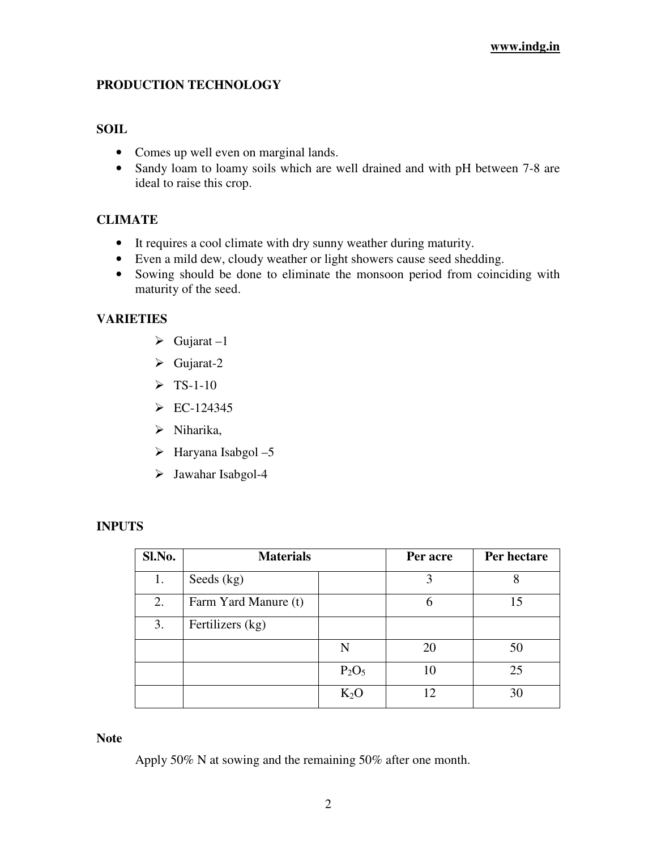## **PRODUCTION TECHNOLOGY**

#### **SOIL**

- Comes up well even on marginal lands.
- Sandy loam to loamy soils which are well drained and with pH between 7-8 are ideal to raise this crop.

## **CLIMATE**

- It requires a cool climate with dry sunny weather during maturity.
- Even a mild dew, cloudy weather or light showers cause seed shedding.
- Sowing should be done to eliminate the monsoon period from coinciding with maturity of the seed.

## **VARIETIES**

- $\triangleright$  Gujarat –1
- $\triangleright$  Gujarat-2
- $\triangleright$  TS-1-10
- $\triangleright$  EC-124345
- $\triangleright$  Niharika,
- $\triangleright$  Haryana Isabgol -5
- Jawahar Isabgol-4

## **INPUTS**

| Sl.No. | <b>Materials</b>     |          | Per acre | Per hectare |
|--------|----------------------|----------|----------|-------------|
| 1.     | Seeds (kg)           |          | 3        |             |
| 2.     | Farm Yard Manure (t) |          | 6        | 15          |
| 3.     | Fertilizers (kg)     |          |          |             |
|        |                      | N        | 20       | 50          |
|        |                      | $P_2O_5$ | 10       | 25          |
|        |                      | $K_2O$   | 12       | 30          |

#### **Note**

Apply 50% N at sowing and the remaining 50% after one month.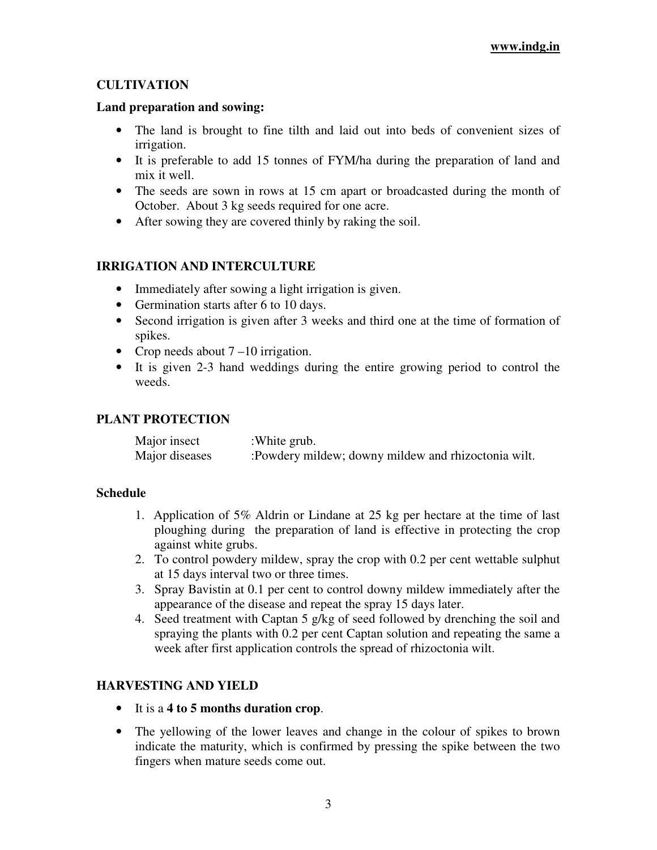## **CULTIVATION**

## **Land preparation and sowing:**

- The land is brought to fine tilth and laid out into beds of convenient sizes of irrigation.
- It is preferable to add 15 tonnes of FYM/ha during the preparation of land and mix it well.
- The seeds are sown in rows at 15 cm apart or broadcasted during the month of October. About 3 kg seeds required for one acre.
- After sowing they are covered thinly by raking the soil.

## **IRRIGATION AND INTERCULTURE**

- Immediately after sowing a light irrigation is given.
- Germination starts after 6 to 10 days.
- Second irrigation is given after 3 weeks and third one at the time of formation of spikes.
- Crop needs about  $7-10$  irrigation.
- It is given 2-3 hand weddings during the entire growing period to control the weeds.

## **PLANT PROTECTION**

| Major insect   | :White grub.                                         |
|----------------|------------------------------------------------------|
| Major diseases | : Powdery mildew; downy mildew and rhizoctonia wilt. |

## **Schedule**

- 1. Application of 5% Aldrin or Lindane at 25 kg per hectare at the time of last ploughing during the preparation of land is effective in protecting the crop against white grubs.
- 2. To control powdery mildew, spray the crop with 0.2 per cent wettable sulphut at 15 days interval two or three times.
- 3. Spray Bavistin at 0.1 per cent to control downy mildew immediately after the appearance of the disease and repeat the spray 15 days later.
- 4. Seed treatment with Captan 5 g/kg of seed followed by drenching the soil and spraying the plants with 0.2 per cent Captan solution and repeating the same a week after first application controls the spread of rhizoctonia wilt.

## **HARVESTING AND YIELD**

- It is a **4 to 5 months duration crop**.
- The yellowing of the lower leaves and change in the colour of spikes to brown indicate the maturity, which is confirmed by pressing the spike between the two fingers when mature seeds come out.